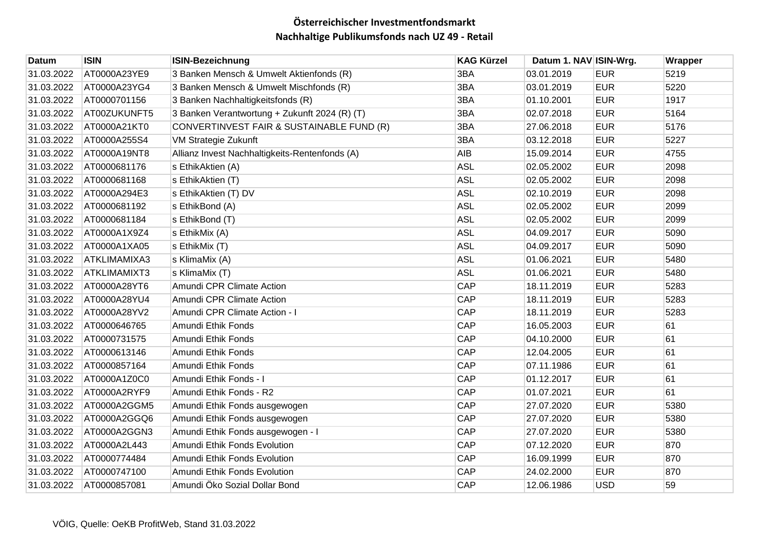| Datum      | <b>ISIN</b>         | <b>ISIN-Bezeichnung</b>                        | <b>KAG Kürzel</b> | Datum 1. NAV ISIN-Wrg. |            | Wrapper |
|------------|---------------------|------------------------------------------------|-------------------|------------------------|------------|---------|
| 31.03.2022 | AT0000A23YE9        | 3 Banken Mensch & Umwelt Aktienfonds (R)       | 3BA               | 03.01.2019             | <b>EUR</b> | 5219    |
| 31.03.2022 | AT0000A23YG4        | 3 Banken Mensch & Umwelt Mischfonds (R)        | 3BA               | 03.01.2019             | <b>EUR</b> | 5220    |
| 31.03.2022 | AT0000701156        | 3 Banken Nachhaltigkeitsfonds (R)              | 3BA               | 01.10.2001             | <b>EUR</b> | 1917    |
| 31.03.2022 | AT00ZUKUNFT5        | 3 Banken Verantwortung + Zukunft 2024 (R) (T)  | 3BA               | 02.07.2018             | <b>EUR</b> | 5164    |
| 31.03.2022 | AT0000A21KT0        | CONVERTINVEST FAIR & SUSTAINABLE FUND (R)      | 3BA               | 27.06.2018             | <b>EUR</b> | 5176    |
| 31.03.2022 | AT0000A255S4        | VM Strategie Zukunft                           | 3BA               | 03.12.2018             | <b>EUR</b> | 5227    |
| 31.03.2022 | AT0000A19NT8        | Allianz Invest Nachhaltigkeits-Rentenfonds (A) | <b>AIB</b>        | 15.09.2014             | <b>EUR</b> | 4755    |
| 31.03.2022 | AT0000681176        | s EthikAktien (A)                              | <b>ASL</b>        | 02.05.2002             | <b>EUR</b> | 2098    |
| 31.03.2022 | AT0000681168        | s EthikAktien (T)                              | <b>ASL</b>        | 02.05.2002             | <b>EUR</b> | 2098    |
| 31.03.2022 | AT0000A294E3        | s EthikAktien (T) DV                           | <b>ASL</b>        | 02.10.2019             | <b>EUR</b> | 2098    |
| 31.03.2022 | AT0000681192        | s EthikBond (A)                                | <b>ASL</b>        | 02.05.2002             | <b>EUR</b> | 2099    |
| 31.03.2022 | AT0000681184        | s EthikBond (T)                                | <b>ASL</b>        | 02.05.2002             | <b>EUR</b> | 2099    |
| 31.03.2022 | AT0000A1X9Z4        | s EthikMix (A)                                 | <b>ASL</b>        | 04.09.2017             | <b>EUR</b> | 5090    |
| 31.03.2022 | AT0000A1XA05        | s EthikMix (T)                                 | <b>ASL</b>        | 04.09.2017             | <b>EUR</b> | 5090    |
| 31.03.2022 | ATKLIMAMIXA3        | s KlimaMix (A)                                 | <b>ASL</b>        | 01.06.2021             | <b>EUR</b> | 5480    |
| 31.03.2022 | <b>ATKLIMAMIXT3</b> | s KlimaMix (T)                                 | <b>ASL</b>        | 01.06.2021             | <b>EUR</b> | 5480    |
| 31.03.2022 | AT0000A28YT6        | Amundi CPR Climate Action                      | <b>CAP</b>        | 18.11.2019             | <b>EUR</b> | 5283    |
| 31.03.2022 | AT0000A28YU4        | Amundi CPR Climate Action                      | <b>CAP</b>        | 18.11.2019             | <b>EUR</b> | 5283    |
| 31.03.2022 | AT0000A28YV2        | Amundi CPR Climate Action - I                  | <b>CAP</b>        | 18.11.2019             | <b>EUR</b> | 5283    |
| 31.03.2022 | AT0000646765        | Amundi Ethik Fonds                             | <b>CAP</b>        | 16.05.2003             | <b>EUR</b> | 61      |
| 31.03.2022 | AT0000731575        | Amundi Ethik Fonds                             | <b>CAP</b>        | 04.10.2000             | <b>EUR</b> | 61      |
| 31.03.2022 | AT0000613146        | Amundi Ethik Fonds                             | <b>CAP</b>        | 12.04.2005             | <b>EUR</b> | 61      |
| 31.03.2022 | AT0000857164        | Amundi Ethik Fonds                             | <b>CAP</b>        | 07.11.1986             | <b>EUR</b> | 61      |
| 31.03.2022 | AT0000A1Z0C0        | Amundi Ethik Fonds - I                         | <b>CAP</b>        | 01.12.2017             | <b>EUR</b> | 61      |
| 31.03.2022 | AT0000A2RYF9        | Amundi Ethik Fonds - R2                        | <b>CAP</b>        | 01.07.2021             | <b>EUR</b> | 61      |
| 31.03.2022 | AT0000A2GGM5        | Amundi Ethik Fonds ausgewogen                  | <b>CAP</b>        | 27.07.2020             | <b>EUR</b> | 5380    |
| 31.03.2022 | AT0000A2GGQ6        | Amundi Ethik Fonds ausgewogen                  | <b>CAP</b>        | 27.07.2020             | <b>EUR</b> | 5380    |
| 31.03.2022 | AT0000A2GGN3        | Amundi Ethik Fonds ausgewogen - I              | <b>CAP</b>        | 27.07.2020             | <b>EUR</b> | 5380    |
| 31.03.2022 | AT0000A2L443        | Amundi Ethik Fonds Evolution                   | <b>CAP</b>        | 07.12.2020             | <b>EUR</b> | 870     |
| 31.03.2022 | AT0000774484        | Amundi Ethik Fonds Evolution                   | <b>CAP</b>        | 16.09.1999             | <b>EUR</b> | 870     |
| 31.03.2022 | AT0000747100        | Amundi Ethik Fonds Evolution                   | <b>CAP</b>        | 24.02.2000             | <b>EUR</b> | 870     |
| 31.03.2022 | AT0000857081        | Amundi Öko Sozial Dollar Bond                  | <b>CAP</b>        | 12.06.1986             | <b>USD</b> | 59      |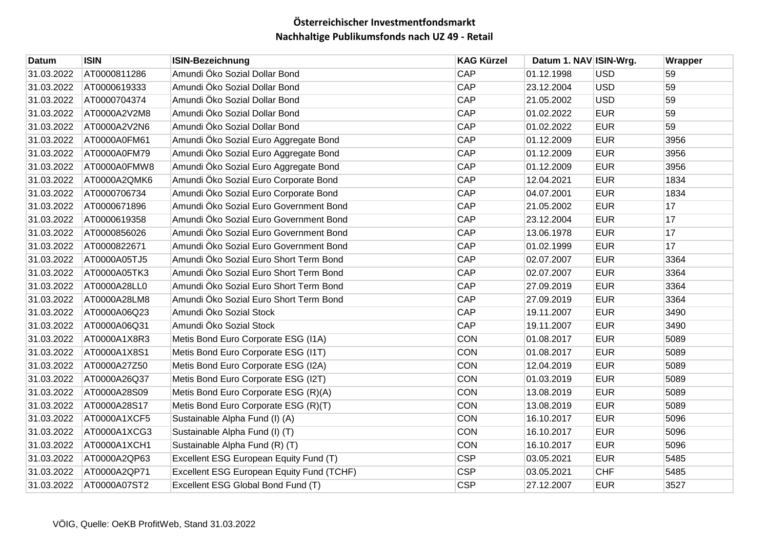| Datum      | <b>ISIN</b>  | <b>ISIN-Bezeichnung</b>                   | <b>KAG Kürzel</b> | Datum 1. NAV ISIN-Wrg. |            | Wrapper |
|------------|--------------|-------------------------------------------|-------------------|------------------------|------------|---------|
| 31.03.2022 | AT0000811286 | Amundi Öko Sozial Dollar Bond             | CAP               | 01.12.1998             | <b>USD</b> | 59      |
| 31.03.2022 | AT0000619333 | Amundi Öko Sozial Dollar Bond             | CAP               | 23.12.2004             | <b>USD</b> | 59      |
| 31.03.2022 | AT0000704374 | Amundi Öko Sozial Dollar Bond             | <b>CAP</b>        | 21.05.2002             | <b>USD</b> | 59      |
| 31.03.2022 | AT0000A2V2M8 | Amundi Öko Sozial Dollar Bond             | CAP               | 01.02.2022             | <b>EUR</b> | 59      |
| 31.03.2022 | AT0000A2V2N6 | Amundi Öko Sozial Dollar Bond             | CAP               | 01.02.2022             | <b>EUR</b> | 59      |
| 31.03.2022 | AT0000A0FM61 | Amundi Öko Sozial Euro Aggregate Bond     | CAP               | 01.12.2009             | <b>EUR</b> | 3956    |
| 31.03.2022 | AT0000A0FM79 | Amundi Öko Sozial Euro Aggregate Bond     | <b>CAP</b>        | 01.12.2009             | <b>EUR</b> | 3956    |
| 31.03.2022 | AT0000A0FMW8 | Amundi Öko Sozial Euro Aggregate Bond     | <b>CAP</b>        | 01.12.2009             | <b>EUR</b> | 3956    |
| 31.03.2022 | AT0000A2QMK6 | Amundi Öko Sozial Euro Corporate Bond     | <b>CAP</b>        | 12.04.2021             | <b>EUR</b> | 1834    |
| 31.03.2022 | AT0000706734 | Amundi Öko Sozial Euro Corporate Bond     | CAP               | 04.07.2001             | <b>EUR</b> | 1834    |
| 31.03.2022 | AT0000671896 | Amundi Öko Sozial Euro Government Bond    | <b>CAP</b>        | 21.05.2002             | <b>EUR</b> | 17      |
| 31.03.2022 | AT0000619358 | Amundi Öko Sozial Euro Government Bond    | CAP               | 23.12.2004             | <b>EUR</b> | 17      |
| 31.03.2022 | AT0000856026 | Amundi Öko Sozial Euro Government Bond    | CAP               | 13.06.1978             | <b>EUR</b> | 17      |
| 31.03.2022 | AT0000822671 | Amundi Öko Sozial Euro Government Bond    | CAP               | 01.02.1999             | <b>EUR</b> | 17      |
| 31.03.2022 | AT0000A05TJ5 | Amundi Öko Sozial Euro Short Term Bond    | <b>CAP</b>        | 02.07.2007             | <b>EUR</b> | 3364    |
| 31.03.2022 | AT0000A05TK3 | Amundi Öko Sozial Euro Short Term Bond    | CAP               | 02.07.2007             | <b>EUR</b> | 3364    |
| 31.03.2022 | AT0000A28LL0 | Amundi Öko Sozial Euro Short Term Bond    | <b>CAP</b>        | 27.09.2019             | <b>EUR</b> | 3364    |
| 31.03.2022 | AT0000A28LM8 | Amundi Öko Sozial Euro Short Term Bond    | CAP               | 27.09.2019             | <b>EUR</b> | 3364    |
| 31.03.2022 | AT0000A06Q23 | Amundi Öko Sozial Stock                   | <b>CAP</b>        | 19.11.2007             | <b>EUR</b> | 3490    |
| 31.03.2022 | AT0000A06Q31 | Amundi Öko Sozial Stock                   | <b>CAP</b>        | 19.11.2007             | <b>EUR</b> | 3490    |
| 31.03.2022 | AT0000A1X8R3 | Metis Bond Euro Corporate ESG (I1A)       | <b>CON</b>        | 01.08.2017             | <b>EUR</b> | 5089    |
| 31.03.2022 | AT0000A1X8S1 | Metis Bond Euro Corporate ESG (I1T)       | <b>CON</b>        | 01.08.2017             | <b>EUR</b> | 5089    |
| 31.03.2022 | AT0000A27Z50 | Metis Bond Euro Corporate ESG (I2A)       | <b>CON</b>        | 12.04.2019             | <b>EUR</b> | 5089    |
| 31.03.2022 | AT0000A26Q37 | Metis Bond Euro Corporate ESG (I2T)       | <b>CON</b>        | 01.03.2019             | <b>EUR</b> | 5089    |
| 31.03.2022 | AT0000A28S09 | Metis Bond Euro Corporate ESG (R)(A)      | <b>CON</b>        | 13.08.2019             | <b>EUR</b> | 5089    |
| 31.03.2022 | AT0000A28S17 | Metis Bond Euro Corporate ESG (R)(T)      | <b>CON</b>        | 13.08.2019             | <b>EUR</b> | 5089    |
| 31.03.2022 | AT0000A1XCF5 | Sustainable Alpha Fund (I) (A)            | <b>CON</b>        | 16.10.2017             | <b>EUR</b> | 5096    |
| 31.03.2022 | AT0000A1XCG3 | Sustainable Alpha Fund (I) (T)            | <b>CON</b>        | 16.10.2017             | <b>EUR</b> | 5096    |
| 31.03.2022 | AT0000A1XCH1 | Sustainable Alpha Fund (R) (T)            | <b>CON</b>        | 16.10.2017             | <b>EUR</b> | 5096    |
| 31.03.2022 | AT0000A2QP63 | Excellent ESG European Equity Fund (T)    | <b>CSP</b>        | 03.05.2021             | <b>EUR</b> | 5485    |
| 31.03.2022 | AT0000A2QP71 | Excellent ESG European Equity Fund (TCHF) | <b>CSP</b>        | 03.05.2021             | <b>CHF</b> | 5485    |
| 31.03.2022 | AT0000A07ST2 | Excellent ESG Global Bond Fund (T)        | <b>CSP</b>        | 27.12.2007             | <b>EUR</b> | 3527    |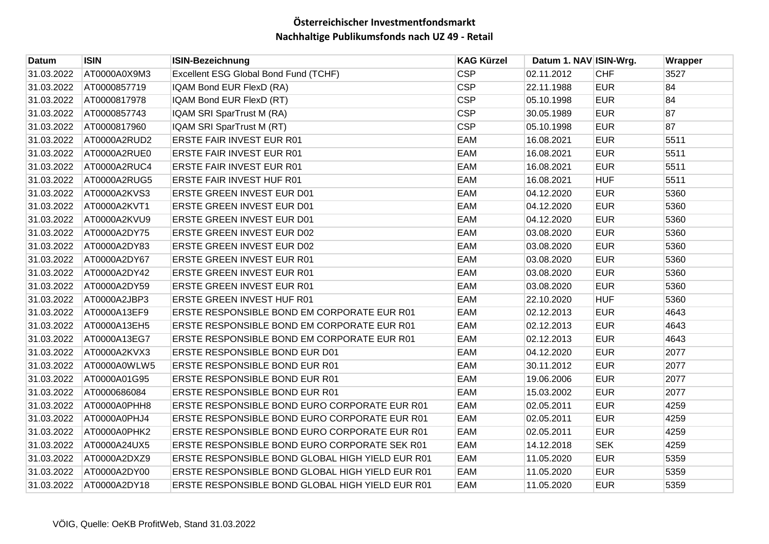| Datum      | <b>ISIN</b>  | <b>ISIN-Bezeichnung</b>                          | <b>KAG Kürzel</b> | Datum 1. NAV ISIN-Wrg. |            | Wrapper |
|------------|--------------|--------------------------------------------------|-------------------|------------------------|------------|---------|
| 31.03.2022 | AT0000A0X9M3 | Excellent ESG Global Bond Fund (TCHF)            | <b>CSP</b>        | 02.11.2012             | <b>CHF</b> | 3527    |
| 31.03.2022 | AT0000857719 | IQAM Bond EUR FlexD (RA)                         | <b>CSP</b>        | 22.11.1988             | <b>EUR</b> | 84      |
| 31.03.2022 | AT0000817978 | IQAM Bond EUR FlexD (RT)                         | <b>CSP</b>        | 05.10.1998             | <b>EUR</b> | 84      |
| 31.03.2022 | AT0000857743 | IQAM SRI SparTrust M (RA)                        | <b>CSP</b>        | 30.05.1989             | <b>EUR</b> | 87      |
| 31.03.2022 | AT0000817960 | IQAM SRI SparTrust M (RT)                        | <b>CSP</b>        | 05.10.1998             | <b>EUR</b> | 87      |
| 31.03.2022 | AT0000A2RUD2 | <b>ERSTE FAIR INVEST EUR R01</b>                 | EAM               | 16.08.2021             | <b>EUR</b> | 5511    |
| 31.03.2022 | AT0000A2RUE0 | <b>ERSTE FAIR INVEST EUR R01</b>                 | EAM               | 16.08.2021             | <b>EUR</b> | 5511    |
| 31.03.2022 | AT0000A2RUC4 | <b>ERSTE FAIR INVEST EUR R01</b>                 | EAM               | 16.08.2021             | <b>EUR</b> | 5511    |
| 31.03.2022 | AT0000A2RUG5 | <b>ERSTE FAIR INVEST HUF R01</b>                 | EAM               | 16.08.2021             | <b>HUF</b> | 5511    |
| 31.03.2022 | AT0000A2KVS3 | <b>ERSTE GREEN INVEST EUR D01</b>                | EAM               | 04.12.2020             | <b>EUR</b> | 5360    |
| 31.03.2022 | AT0000A2KVT1 | <b>ERSTE GREEN INVEST EUR D01</b>                | EAM               | 04.12.2020             | <b>EUR</b> | 5360    |
| 31.03.2022 | AT0000A2KVU9 | <b>ERSTE GREEN INVEST EUR D01</b>                | EAM               | 04.12.2020             | <b>EUR</b> | 5360    |
| 31.03.2022 | AT0000A2DY75 | <b>ERSTE GREEN INVEST EUR D02</b>                | EAM               | 03.08.2020             | <b>EUR</b> | 5360    |
| 31.03.2022 | AT0000A2DY83 | <b>ERSTE GREEN INVEST EUR D02</b>                | EAM               | 03.08.2020             | <b>EUR</b> | 5360    |
| 31.03.2022 | AT0000A2DY67 | <b>ERSTE GREEN INVEST EUR R01</b>                | EAM               | 03.08.2020             | <b>EUR</b> | 5360    |
| 31.03.2022 | AT0000A2DY42 | <b>ERSTE GREEN INVEST EUR R01</b>                | EAM               | 03.08.2020             | <b>EUR</b> | 5360    |
| 31.03.2022 | AT0000A2DY59 | <b>ERSTE GREEN INVEST EUR R01</b>                | EAM               | 03.08.2020             | <b>EUR</b> | 5360    |
| 31.03.2022 | AT0000A2JBP3 | <b>ERSTE GREEN INVEST HUF R01</b>                | EAM               | 22.10.2020             | <b>HUF</b> | 5360    |
| 31.03.2022 | AT0000A13EF9 | ERSTE RESPONSIBLE BOND EM CORPORATE EUR R01      | EAM               | 02.12.2013             | <b>EUR</b> | 4643    |
| 31.03.2022 | AT0000A13EH5 | ERSTE RESPONSIBLE BOND EM CORPORATE EUR R01      | EAM               | 02.12.2013             | <b>EUR</b> | 4643    |
| 31.03.2022 | AT0000A13EG7 | ERSTE RESPONSIBLE BOND EM CORPORATE EUR R01      | EAM               | 02.12.2013             | <b>EUR</b> | 4643    |
| 31.03.2022 | AT0000A2KVX3 | ERSTE RESPONSIBLE BOND EUR D01                   | EAM               | 04.12.2020             | <b>EUR</b> | 2077    |
| 31.03.2022 | AT0000A0WLW5 | ERSTE RESPONSIBLE BOND EUR R01                   | EAM               | 30.11.2012             | <b>EUR</b> | 2077    |
| 31.03.2022 | AT0000A01G95 | <b>ERSTE RESPONSIBLE BOND EUR R01</b>            | EAM               | 19.06.2006             | <b>EUR</b> | 2077    |
| 31.03.2022 | AT0000686084 | <b>ERSTE RESPONSIBLE BOND EUR R01</b>            | EAM               | 15.03.2002             | <b>EUR</b> | 2077    |
| 31.03.2022 | AT0000A0PHH8 | ERSTE RESPONSIBLE BOND EURO CORPORATE EUR R01    | EAM               | 02.05.2011             | <b>EUR</b> | 4259    |
| 31.03.2022 | AT0000A0PHJ4 | ERSTE RESPONSIBLE BOND EURO CORPORATE EUR R01    | EAM               | 02.05.2011             | <b>EUR</b> | 4259    |
| 31.03.2022 | AT0000A0PHK2 | ERSTE RESPONSIBLE BOND EURO CORPORATE EUR R01    | EAM               | 02.05.2011             | <b>EUR</b> | 4259    |
| 31.03.2022 | AT0000A24UX5 | ERSTE RESPONSIBLE BOND EURO CORPORATE SEK R01    | EAM               | 14.12.2018             | <b>SEK</b> | 4259    |
| 31.03.2022 | AT0000A2DXZ9 | ERSTE RESPONSIBLE BOND GLOBAL HIGH YIELD EUR R01 | EAM               | 11.05.2020             | <b>EUR</b> | 5359    |
| 31.03.2022 | AT0000A2DY00 | ERSTE RESPONSIBLE BOND GLOBAL HIGH YIELD EUR R01 | EAM               | 11.05.2020             | <b>EUR</b> | 5359    |
| 31.03.2022 | AT0000A2DY18 | ERSTE RESPONSIBLE BOND GLOBAL HIGH YIELD EUR R01 | EAM               | 11.05.2020             | <b>EUR</b> | 5359    |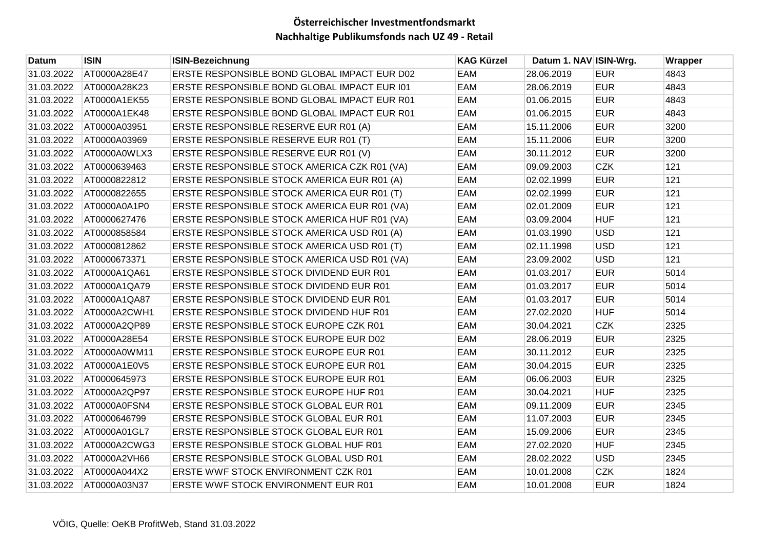| Datum      | <b>ISIN</b>  | <b>ISIN-Bezeichnung</b>                       | <b>KAG Kürzel</b> | Datum 1. NAV ISIN-Wrg. |            | Wrapper |
|------------|--------------|-----------------------------------------------|-------------------|------------------------|------------|---------|
| 31.03.2022 | AT0000A28E47 | ERSTE RESPONSIBLE BOND GLOBAL IMPACT EUR D02  | EAM               | 28.06.2019             | <b>EUR</b> | 4843    |
| 31.03.2022 | AT0000A28K23 | ERSTE RESPONSIBLE BOND GLOBAL IMPACT EUR 101  | EAM               | 28.06.2019             | <b>EUR</b> | 4843    |
| 31.03.2022 | AT0000A1EK55 | ERSTE RESPONSIBLE BOND GLOBAL IMPACT EUR R01  | EAM               | 01.06.2015             | <b>EUR</b> | 4843    |
| 31.03.2022 | AT0000A1EK48 | ERSTE RESPONSIBLE BOND GLOBAL IMPACT EUR R01  | EAM               | 01.06.2015             | <b>EUR</b> | 4843    |
| 31.03.2022 | AT0000A03951 | ERSTE RESPONSIBLE RESERVE EUR R01 (A)         | EAM               | 15.11.2006             | <b>EUR</b> | 3200    |
| 31.03.2022 | AT0000A03969 | ERSTE RESPONSIBLE RESERVE EUR R01 (T)         | EAM               | 15.11.2006             | <b>EUR</b> | 3200    |
| 31.03.2022 | AT0000A0WLX3 | ERSTE RESPONSIBLE RESERVE EUR R01 (V)         | EAM               | 30.11.2012             | <b>EUR</b> | 3200    |
| 31.03.2022 | AT0000639463 | ERSTE RESPONSIBLE STOCK AMERICA CZK R01 (VA)  | EAM               | 09.09.2003             | <b>CZK</b> | 121     |
| 31.03.2022 | AT0000822812 | ERSTE RESPONSIBLE STOCK AMERICA EUR R01 (A)   | EAM               | 02.02.1999             | <b>EUR</b> | 121     |
| 31.03.2022 | AT0000822655 | ERSTE RESPONSIBLE STOCK AMERICA EUR R01 (T)   | EAM               | 02.02.1999             | <b>EUR</b> | 121     |
| 31.03.2022 | AT0000A0A1P0 | ERSTE RESPONSIBLE STOCK AMERICA EUR R01 (VA)  | EAM               | 02.01.2009             | <b>EUR</b> | 121     |
| 31.03.2022 | AT0000627476 | ERSTE RESPONSIBLE STOCK AMERICA HUF R01 (VA)  | EAM               | 03.09.2004             | <b>HUF</b> | 121     |
| 31.03.2022 | AT0000858584 | ERSTE RESPONSIBLE STOCK AMERICA USD R01 (A)   | EAM               | 01.03.1990             | <b>USD</b> | 121     |
| 31.03.2022 | AT0000812862 | ERSTE RESPONSIBLE STOCK AMERICA USD R01 (T)   | EAM               | 02.11.1998             | <b>USD</b> | 121     |
| 31.03.2022 | AT0000673371 | ERSTE RESPONSIBLE STOCK AMERICA USD R01 (VA)  | EAM               | 23.09.2002             | <b>USD</b> | 121     |
| 31.03.2022 | AT0000A1QA61 | ERSTE RESPONSIBLE STOCK DIVIDEND EUR R01      | EAM               | 01.03.2017             | <b>EUR</b> | 5014    |
| 31.03.2022 | AT0000A1QA79 | ERSTE RESPONSIBLE STOCK DIVIDEND EUR R01      | EAM               | 01.03.2017             | <b>EUR</b> | 5014    |
| 31.03.2022 | AT0000A1QA87 | ERSTE RESPONSIBLE STOCK DIVIDEND EUR R01      | EAM               | 01.03.2017             | <b>EUR</b> | 5014    |
| 31.03.2022 | AT0000A2CWH1 | ERSTE RESPONSIBLE STOCK DIVIDEND HUF R01      | EAM               | 27.02.2020             | <b>HUF</b> | 5014    |
| 31.03.2022 | AT0000A2QP89 | ERSTE RESPONSIBLE STOCK EUROPE CZK R01        | EAM               | 30.04.2021             | <b>CZK</b> | 2325    |
| 31.03.2022 | AT0000A28E54 | ERSTE RESPONSIBLE STOCK EUROPE EUR D02        | EAM               | 28.06.2019             | <b>EUR</b> | 2325    |
| 31.03.2022 | AT0000A0WM11 | ERSTE RESPONSIBLE STOCK EUROPE EUR R01        | EAM               | 30.11.2012             | <b>EUR</b> | 2325    |
| 31.03.2022 | AT0000A1E0V5 | ERSTE RESPONSIBLE STOCK EUROPE EUR R01        | EAM               | 30.04.2015             | <b>EUR</b> | 2325    |
| 31.03.2022 | AT0000645973 | <b>ERSTE RESPONSIBLE STOCK EUROPE EUR R01</b> | EAM               | 06.06.2003             | <b>EUR</b> | 2325    |
| 31.03.2022 | AT0000A2QP97 | ERSTE RESPONSIBLE STOCK EUROPE HUF R01        | EAM               | 30.04.2021             | <b>HUF</b> | 2325    |
| 31.03.2022 | AT0000A0FSN4 | ERSTE RESPONSIBLE STOCK GLOBAL EUR R01        | EAM               | 09.11.2009             | <b>EUR</b> | 2345    |
| 31.03.2022 | AT0000646799 | ERSTE RESPONSIBLE STOCK GLOBAL EUR R01        | EAM               | 11.07.2003             | <b>EUR</b> | 2345    |
| 31.03.2022 | AT0000A01GL7 | ERSTE RESPONSIBLE STOCK GLOBAL EUR R01        | EAM               | 15.09.2006             | <b>EUR</b> | 2345    |
| 31.03.2022 | AT0000A2CWG3 | ERSTE RESPONSIBLE STOCK GLOBAL HUF R01        | EAM               | 27.02.2020             | <b>HUF</b> | 2345    |
| 31.03.2022 | AT0000A2VH66 | ERSTE RESPONSIBLE STOCK GLOBAL USD R01        | EAM               | 28.02.2022             | <b>USD</b> | 2345    |
| 31.03.2022 | AT0000A044X2 | ERSTE WWF STOCK ENVIRONMENT CZK R01           | EAM               | 10.01.2008             | <b>CZK</b> | 1824    |
| 31.03.2022 | AT0000A03N37 | ERSTE WWF STOCK ENVIRONMENT EUR R01           | EAM               | 10.01.2008             | <b>EUR</b> | 1824    |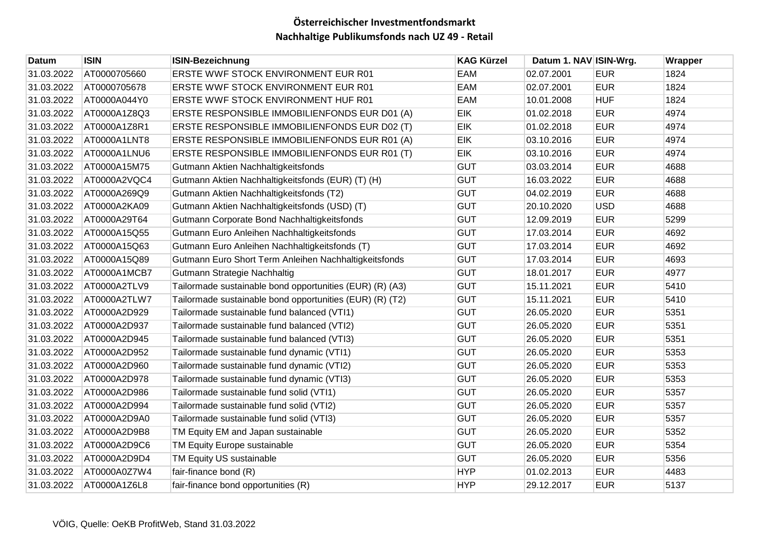| Datum      | <b>ISIN</b>  | <b>ISIN-Bezeichnung</b>                                  | <b>KAG Kürzel</b> | Datum 1. NAV ISIN-Wrg. |            | Wrapper |
|------------|--------------|----------------------------------------------------------|-------------------|------------------------|------------|---------|
| 31.03.2022 | AT0000705660 | ERSTE WWF STOCK ENVIRONMENT EUR R01                      | EAM               | 02.07.2001             | <b>EUR</b> | 1824    |
| 31.03.2022 | AT0000705678 | ERSTE WWF STOCK ENVIRONMENT EUR R01                      | EAM               | 02.07.2001             | <b>EUR</b> | 1824    |
| 31.03.2022 | AT0000A044Y0 | ERSTE WWF STOCK ENVIRONMENT HUF R01                      | EAM               | 10.01.2008             | <b>HUF</b> | 1824    |
| 31.03.2022 | AT0000A1Z8Q3 | ERSTE RESPONSIBLE IMMOBILIENFONDS EUR D01 (A)            | EIK               | 01.02.2018             | <b>EUR</b> | 4974    |
| 31.03.2022 | AT0000A1Z8R1 | ERSTE RESPONSIBLE IMMOBILIENFONDS EUR D02 (T)            | EIK               | 01.02.2018             | <b>EUR</b> | 4974    |
| 31.03.2022 | AT0000A1LNT8 | ERSTE RESPONSIBLE IMMOBILIENFONDS EUR R01 (A)            | EIK               | 03.10.2016             | <b>EUR</b> | 4974    |
| 31.03.2022 | AT0000A1LNU6 | ERSTE RESPONSIBLE IMMOBILIENFONDS EUR R01 (T)            | <b>EIK</b>        | 03.10.2016             | <b>EUR</b> | 4974    |
| 31.03.2022 | AT0000A15M75 | Gutmann Aktien Nachhaltigkeitsfonds                      | <b>GUT</b>        | 03.03.2014             | <b>EUR</b> | 4688    |
| 31.03.2022 | AT0000A2VQC4 | Gutmann Aktien Nachhaltigkeitsfonds (EUR) (T) (H)        | <b>GUT</b>        | 16.03.2022             | <b>EUR</b> | 4688    |
| 31.03.2022 | AT0000A269Q9 | Gutmann Aktien Nachhaltigkeitsfonds (T2)                 | <b>GUT</b>        | 04.02.2019             | <b>EUR</b> | 4688    |
| 31.03.2022 | AT0000A2KA09 | Gutmann Aktien Nachhaltigkeitsfonds (USD) (T)            | <b>GUT</b>        | 20.10.2020             | <b>USD</b> | 4688    |
| 31.03.2022 | AT0000A29T64 | Gutmann Corporate Bond Nachhaltigkeitsfonds              | <b>GUT</b>        | 12.09.2019             | <b>EUR</b> | 5299    |
| 31.03.2022 | AT0000A15Q55 | Gutmann Euro Anleihen Nachhaltigkeitsfonds               | <b>GUT</b>        | 17.03.2014             | <b>EUR</b> | 4692    |
| 31.03.2022 | AT0000A15Q63 | Gutmann Euro Anleihen Nachhaltigkeitsfonds (T)           | <b>GUT</b>        | 17.03.2014             | <b>EUR</b> | 4692    |
| 31.03.2022 | AT0000A15Q89 | Gutmann Euro Short Term Anleihen Nachhaltigkeitsfonds    | <b>GUT</b>        | 17.03.2014             | <b>EUR</b> | 4693    |
| 31.03.2022 | AT0000A1MCB7 | Gutmann Strategie Nachhaltig                             | <b>GUT</b>        | 18.01.2017             | <b>EUR</b> | 4977    |
| 31.03.2022 | AT0000A2TLV9 | Tailormade sustainable bond opportunities (EUR) (R) (A3) | <b>GUT</b>        | 15.11.2021             | <b>EUR</b> | 5410    |
| 31.03.2022 | AT0000A2TLW7 | Tailormade sustainable bond opportunities (EUR) (R) (T2) | <b>GUT</b>        | 15.11.2021             | <b>EUR</b> | 5410    |
| 31.03.2022 | AT0000A2D929 | Tailormade sustainable fund balanced (VTI1)              | <b>GUT</b>        | 26.05.2020             | <b>EUR</b> | 5351    |
| 31.03.2022 | AT0000A2D937 | Tailormade sustainable fund balanced (VTI2)              | <b>GUT</b>        | 26.05.2020             | <b>EUR</b> | 5351    |
| 31.03.2022 | AT0000A2D945 | Tailormade sustainable fund balanced (VTI3)              | <b>GUT</b>        | 26.05.2020             | <b>EUR</b> | 5351    |
| 31.03.2022 | AT0000A2D952 | Tailormade sustainable fund dynamic (VTI1)               | <b>GUT</b>        | 26.05.2020             | <b>EUR</b> | 5353    |
| 31.03.2022 | AT0000A2D960 | Tailormade sustainable fund dynamic (VTI2)               | <b>GUT</b>        | 26.05.2020             | <b>EUR</b> | 5353    |
| 31.03.2022 | AT0000A2D978 | Tailormade sustainable fund dynamic (VTI3)               | <b>GUT</b>        | 26.05.2020             | <b>EUR</b> | 5353    |
| 31.03.2022 | AT0000A2D986 | Tailormade sustainable fund solid (VTI1)                 | <b>GUT</b>        | 26.05.2020             | <b>EUR</b> | 5357    |
| 31.03.2022 | AT0000A2D994 | Tailormade sustainable fund solid (VTI2)                 | <b>GUT</b>        | 26.05.2020             | <b>EUR</b> | 5357    |
| 31.03.2022 | AT0000A2D9A0 | Tailormade sustainable fund solid (VTI3)                 | <b>GUT</b>        | 26.05.2020             | <b>EUR</b> | 5357    |
| 31.03.2022 | AT0000A2D9B8 | TM Equity EM and Japan sustainable                       | <b>GUT</b>        | 26.05.2020             | <b>EUR</b> | 5352    |
| 31.03.2022 | AT0000A2D9C6 | TM Equity Europe sustainable                             | <b>GUT</b>        | 26.05.2020             | <b>EUR</b> | 5354    |
| 31.03.2022 | AT0000A2D9D4 | TM Equity US sustainable                                 | <b>GUT</b>        | 26.05.2020             | <b>EUR</b> | 5356    |
| 31.03.2022 | AT0000A0Z7W4 | fair-finance bond (R)                                    | <b>HYP</b>        | 01.02.2013             | <b>EUR</b> | 4483    |
| 31.03.2022 | AT0000A1Z6L8 | fair-finance bond opportunities (R)                      | <b>HYP</b>        | 29.12.2017             | <b>EUR</b> | 5137    |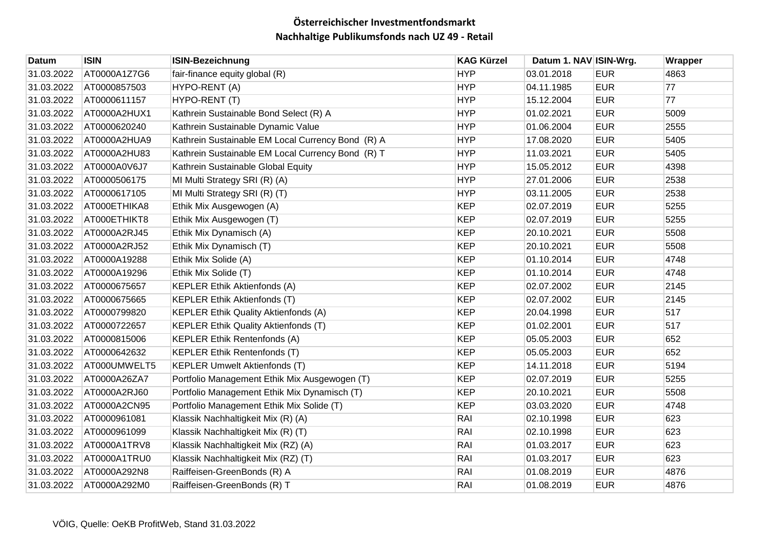| Datum      | <b>ISIN</b>  | <b>ISIN-Bezeichnung</b>                           | <b>KAG Kürzel</b> | Datum 1. NAV ISIN-Wrg. |            | Wrapper |
|------------|--------------|---------------------------------------------------|-------------------|------------------------|------------|---------|
| 31.03.2022 | AT0000A1Z7G6 | fair-finance equity global (R)                    | <b>HYP</b>        | 03.01.2018             | <b>EUR</b> | 4863    |
| 31.03.2022 | AT0000857503 | HYPO-RENT (A)                                     | <b>HYP</b>        | 04.11.1985             | <b>EUR</b> | 77      |
| 31.03.2022 | AT0000611157 | HYPO-RENT (T)                                     | <b>HYP</b>        | 15.12.2004             | <b>EUR</b> | 77      |
| 31.03.2022 | AT0000A2HUX1 | Kathrein Sustainable Bond Select (R) A            | <b>HYP</b>        | 01.02.2021             | <b>EUR</b> | 5009    |
| 31.03.2022 | AT0000620240 | Kathrein Sustainable Dynamic Value                | <b>HYP</b>        | 01.06.2004             | <b>EUR</b> | 2555    |
| 31.03.2022 | AT0000A2HUA9 | Kathrein Sustainable EM Local Currency Bond (R) A | <b>HYP</b>        | 17.08.2020             | <b>EUR</b> | 5405    |
| 31.03.2022 | AT0000A2HU83 | Kathrein Sustainable EM Local Currency Bond (R) T | <b>HYP</b>        | 11.03.2021             | <b>EUR</b> | 5405    |
| 31.03.2022 | AT0000A0V6J7 | Kathrein Sustainable Global Equity                | <b>HYP</b>        | 15.05.2012             | <b>EUR</b> | 4398    |
| 31.03.2022 | AT0000506175 | MI Multi Strategy SRI (R) (A)                     | <b>HYP</b>        | 27.01.2006             | <b>EUR</b> | 2538    |
| 31.03.2022 | AT0000617105 | MI Multi Strategy SRI (R) (T)                     | <b>HYP</b>        | 03.11.2005             | <b>EUR</b> | 2538    |
| 31.03.2022 | AT000ETHIKA8 | Ethik Mix Ausgewogen (A)                          | <b>KEP</b>        | 02.07.2019             | <b>EUR</b> | 5255    |
| 31.03.2022 | AT000ETHIKT8 | Ethik Mix Ausgewogen (T)                          | <b>KEP</b>        | 02.07.2019             | <b>EUR</b> | 5255    |
| 31.03.2022 | AT0000A2RJ45 | Ethik Mix Dynamisch (A)                           | <b>KEP</b>        | 20.10.2021             | <b>EUR</b> | 5508    |
| 31.03.2022 | AT0000A2RJ52 | Ethik Mix Dynamisch (T)                           | <b>KEP</b>        | 20.10.2021             | <b>EUR</b> | 5508    |
| 31.03.2022 | AT0000A19288 | Ethik Mix Solide (A)                              | <b>KEP</b>        | 01.10.2014             | <b>EUR</b> | 4748    |
| 31.03.2022 | AT0000A19296 | Ethik Mix Solide (T)                              | <b>KEP</b>        | 01.10.2014             | <b>EUR</b> | 4748    |
| 31.03.2022 | AT0000675657 | <b>KEPLER Ethik Aktienfonds (A)</b>               | <b>KEP</b>        | 02.07.2002             | <b>EUR</b> | 2145    |
| 31.03.2022 | AT0000675665 | <b>KEPLER Ethik Aktienfonds (T)</b>               | <b>KEP</b>        | 02.07.2002             | <b>EUR</b> | 2145    |
| 31.03.2022 | AT0000799820 | <b>KEPLER Ethik Quality Aktienfonds (A)</b>       | <b>KEP</b>        | 20.04.1998             | <b>EUR</b> | 517     |
| 31.03.2022 | AT0000722657 | <b>KEPLER Ethik Quality Aktienfonds (T)</b>       | <b>KEP</b>        | 01.02.2001             | <b>EUR</b> | 517     |
| 31.03.2022 | AT0000815006 | <b>KEPLER Ethik Rentenfonds (A)</b>               | <b>KEP</b>        | 05.05.2003             | <b>EUR</b> | 652     |
| 31.03.2022 | AT0000642632 | <b>KEPLER Ethik Rentenfonds (T)</b>               | <b>KEP</b>        | 05.05.2003             | <b>EUR</b> | 652     |
| 31.03.2022 | AT000UMWELT5 | <b>KEPLER Umwelt Aktienfonds (T)</b>              | <b>KEP</b>        | 14.11.2018             | <b>EUR</b> | 5194    |
| 31.03.2022 | AT0000A26ZA7 | Portfolio Management Ethik Mix Ausgewogen (T)     | <b>KEP</b>        | 02.07.2019             | <b>EUR</b> | 5255    |
| 31.03.2022 | AT0000A2RJ60 | Portfolio Management Ethik Mix Dynamisch (T)      | <b>KEP</b>        | 20.10.2021             | <b>EUR</b> | 5508    |
| 31.03.2022 | AT0000A2CN95 | Portfolio Management Ethik Mix Solide (T)         | <b>KEP</b>        | 03.03.2020             | <b>EUR</b> | 4748    |
| 31.03.2022 | AT0000961081 | Klassik Nachhaltigkeit Mix (R) (A)                | RAI               | 02.10.1998             | <b>EUR</b> | 623     |
| 31.03.2022 | AT0000961099 | Klassik Nachhaltigkeit Mix (R) (T)                | RAI               | 02.10.1998             | <b>EUR</b> | 623     |
| 31.03.2022 | AT0000A1TRV8 | Klassik Nachhaltigkeit Mix (RZ) (A)               | RAI               | 01.03.2017             | <b>EUR</b> | 623     |
| 31.03.2022 | AT0000A1TRU0 | Klassik Nachhaltigkeit Mix (RZ) (T)               | RAI               | 01.03.2017             | <b>EUR</b> | 623     |
| 31.03.2022 | AT0000A292N8 | Raiffeisen-GreenBonds (R) A                       | RAI               | 01.08.2019             | <b>EUR</b> | 4876    |
| 31.03.2022 | AT0000A292M0 | Raiffeisen-GreenBonds (R) T                       | RAI               | 01.08.2019             | <b>EUR</b> | 4876    |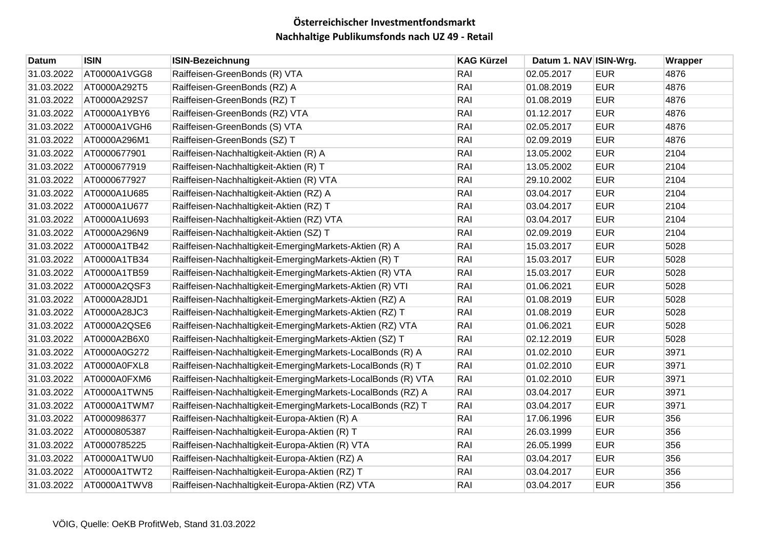| Datum      | <b>ISIN</b>  | <b>ISIN-Bezeichnung</b>                                      | <b>KAG Kürzel</b> | Datum 1. NAV ISIN-Wrg. |            | Wrapper |
|------------|--------------|--------------------------------------------------------------|-------------------|------------------------|------------|---------|
| 31.03.2022 | AT0000A1VGG8 | Raiffeisen-GreenBonds (R) VTA                                | RAI               | 02.05.2017             | <b>EUR</b> | 4876    |
| 31.03.2022 | AT0000A292T5 | Raiffeisen-GreenBonds (RZ) A                                 | RAI               | 01.08.2019             | <b>EUR</b> | 4876    |
| 31.03.2022 | AT0000A292S7 | Raiffeisen-GreenBonds (RZ) T                                 | RAI               | 01.08.2019             | <b>EUR</b> | 4876    |
| 31.03.2022 | AT0000A1YBY6 | Raiffeisen-GreenBonds (RZ) VTA                               | RAI               | 01.12.2017             | <b>EUR</b> | 4876    |
| 31.03.2022 | AT0000A1VGH6 | Raiffeisen-GreenBonds (S) VTA                                | RAI               | 02.05.2017             | <b>EUR</b> | 4876    |
| 31.03.2022 | AT0000A296M1 | Raiffeisen-GreenBonds (SZ) T                                 | RAI               | 02.09.2019             | <b>EUR</b> | 4876    |
| 31.03.2022 | AT0000677901 | Raiffeisen-Nachhaltigkeit-Aktien (R) A                       | RAI               | 13.05.2002             | <b>EUR</b> | 2104    |
| 31.03.2022 | AT0000677919 | Raiffeisen-Nachhaltigkeit-Aktien (R) T                       | RAI               | 13.05.2002             | <b>EUR</b> | 2104    |
| 31.03.2022 | AT0000677927 | Raiffeisen-Nachhaltigkeit-Aktien (R) VTA                     | RAI               | 29.10.2002             | <b>EUR</b> | 2104    |
| 31.03.2022 | AT0000A1U685 | Raiffeisen-Nachhaltigkeit-Aktien (RZ) A                      | RAI               | 03.04.2017             | <b>EUR</b> | 2104    |
| 31.03.2022 | AT0000A1U677 | Raiffeisen-Nachhaltigkeit-Aktien (RZ) T                      | RAI               | 03.04.2017             | <b>EUR</b> | 2104    |
| 31.03.2022 | AT0000A1U693 | Raiffeisen-Nachhaltigkeit-Aktien (RZ) VTA                    | RAI               | 03.04.2017             | <b>EUR</b> | 2104    |
| 31.03.2022 | AT0000A296N9 | Raiffeisen-Nachhaltigkeit-Aktien (SZ) T                      | RAI               | 02.09.2019             | <b>EUR</b> | 2104    |
| 31.03.2022 | AT0000A1TB42 | Raiffeisen-Nachhaltigkeit-EmergingMarkets-Aktien (R) A       | RAI               | 15.03.2017             | <b>EUR</b> | 5028    |
| 31.03.2022 | AT0000A1TB34 | Raiffeisen-Nachhaltigkeit-EmergingMarkets-Aktien (R) T       | RAI               | 15.03.2017             | <b>EUR</b> | 5028    |
| 31.03.2022 | AT0000A1TB59 | Raiffeisen-Nachhaltigkeit-EmergingMarkets-Aktien (R) VTA     | RAI               | 15.03.2017             | <b>EUR</b> | 5028    |
| 31.03.2022 | AT0000A2QSF3 | Raiffeisen-Nachhaltigkeit-EmergingMarkets-Aktien (R) VTI     | RAI               | 01.06.2021             | <b>EUR</b> | 5028    |
| 31.03.2022 | AT0000A28JD1 | Raiffeisen-Nachhaltigkeit-EmergingMarkets-Aktien (RZ) A      | RAI               | 01.08.2019             | <b>EUR</b> | 5028    |
| 31.03.2022 | AT0000A28JC3 | Raiffeisen-Nachhaltigkeit-EmergingMarkets-Aktien (RZ) T      | RAI               | 01.08.2019             | <b>EUR</b> | 5028    |
| 31.03.2022 | AT0000A2QSE6 | Raiffeisen-Nachhaltigkeit-EmergingMarkets-Aktien (RZ) VTA    | RAI               | 01.06.2021             | <b>EUR</b> | 5028    |
| 31.03.2022 | AT0000A2B6X0 | Raiffeisen-Nachhaltigkeit-EmergingMarkets-Aktien (SZ) T      | RAI               | 02.12.2019             | <b>EUR</b> | 5028    |
| 31.03.2022 | AT0000A0G272 | Raiffeisen-Nachhaltigkeit-EmergingMarkets-LocalBonds (R) A   | RAI               | 01.02.2010             | <b>EUR</b> | 3971    |
| 31.03.2022 | AT0000A0FXL8 | Raiffeisen-Nachhaltigkeit-EmergingMarkets-LocalBonds (R) T   | RAI               | 01.02.2010             | <b>EUR</b> | 3971    |
| 31.03.2022 | AT0000A0FXM6 | Raiffeisen-Nachhaltigkeit-EmergingMarkets-LocalBonds (R) VTA | RAI               | 01.02.2010             | <b>EUR</b> | 3971    |
| 31.03.2022 | AT0000A1TWN5 | Raiffeisen-Nachhaltigkeit-EmergingMarkets-LocalBonds (RZ) A  | RAI               | 03.04.2017             | <b>EUR</b> | 3971    |
| 31.03.2022 | AT0000A1TWM7 | Raiffeisen-Nachhaltigkeit-EmergingMarkets-LocalBonds (RZ) T  | RAI               | 03.04.2017             | <b>EUR</b> | 3971    |
| 31.03.2022 | AT0000986377 | Raiffeisen-Nachhaltigkeit-Europa-Aktien (R) A                | RAI               | 17.06.1996             | <b>EUR</b> | 356     |
| 31.03.2022 | AT0000805387 | Raiffeisen-Nachhaltigkeit-Europa-Aktien (R) T                | RAI               | 26.03.1999             | <b>EUR</b> | 356     |
| 31.03.2022 | AT0000785225 | Raiffeisen-Nachhaltigkeit-Europa-Aktien (R) VTA              | RAI               | 26.05.1999             | <b>EUR</b> | 356     |
| 31.03.2022 | AT0000A1TWU0 | Raiffeisen-Nachhaltigkeit-Europa-Aktien (RZ) A               | RAI               | 03.04.2017             | <b>EUR</b> | 356     |
| 31.03.2022 | AT0000A1TWT2 | Raiffeisen-Nachhaltigkeit-Europa-Aktien (RZ) T               | RAI               | 03.04.2017             | <b>EUR</b> | 356     |
| 31.03.2022 | AT0000A1TWV8 | Raiffeisen-Nachhaltigkeit-Europa-Aktien (RZ) VTA             | RAI               | 03.04.2017             | <b>EUR</b> | 356     |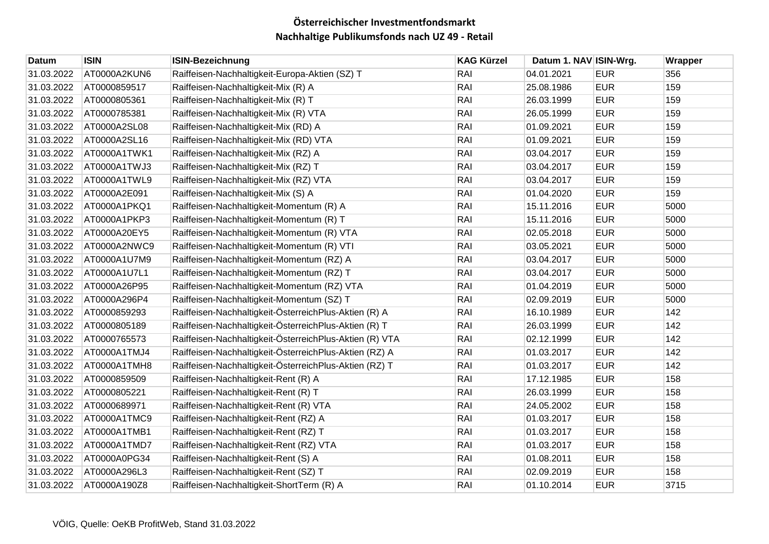| Datum      | <b>ISIN</b>  | <b>ISIN-Bezeichnung</b>                                 | <b>KAG Kürzel</b> | Datum 1. NAV ISIN-Wrg. |            | Wrapper |
|------------|--------------|---------------------------------------------------------|-------------------|------------------------|------------|---------|
| 31.03.2022 | AT0000A2KUN6 | Raiffeisen-Nachhaltigkeit-Europa-Aktien (SZ) T          | RAI               | 04.01.2021             | <b>EUR</b> | 356     |
| 31.03.2022 | AT0000859517 | Raiffeisen-Nachhaltigkeit-Mix (R) A                     | RAI               | 25.08.1986             | <b>EUR</b> | 159     |
| 31.03.2022 | AT0000805361 | Raiffeisen-Nachhaltigkeit-Mix (R) T                     | RAI               | 26.03.1999             | <b>EUR</b> | 159     |
| 31.03.2022 | AT0000785381 | Raiffeisen-Nachhaltigkeit-Mix (R) VTA                   | RAI               | 26.05.1999             | <b>EUR</b> | 159     |
| 31.03.2022 | AT0000A2SL08 | Raiffeisen-Nachhaltigkeit-Mix (RD) A                    | RAI               | 01.09.2021             | <b>EUR</b> | 159     |
| 31.03.2022 | AT0000A2SL16 | Raiffeisen-Nachhaltigkeit-Mix (RD) VTA                  | RAI               | 01.09.2021             | <b>EUR</b> | 159     |
| 31.03.2022 | AT0000A1TWK1 | Raiffeisen-Nachhaltigkeit-Mix (RZ) A                    | RAI               | 03.04.2017             | <b>EUR</b> | 159     |
| 31.03.2022 | AT0000A1TWJ3 | Raiffeisen-Nachhaltigkeit-Mix (RZ) T                    | RAI               | 03.04.2017             | <b>EUR</b> | 159     |
| 31.03.2022 | AT0000A1TWL9 | Raiffeisen-Nachhaltigkeit-Mix (RZ) VTA                  | RAI               | 03.04.2017             | <b>EUR</b> | 159     |
| 31.03.2022 | AT0000A2E091 | Raiffeisen-Nachhaltigkeit-Mix (S) A                     | RAI               | 01.04.2020             | <b>EUR</b> | 159     |
| 31.03.2022 | AT0000A1PKQ1 | Raiffeisen-Nachhaltigkeit-Momentum (R) A                | RAI               | 15.11.2016             | <b>EUR</b> | 5000    |
| 31.03.2022 | AT0000A1PKP3 | Raiffeisen-Nachhaltigkeit-Momentum (R) T                | RAI               | 15.11.2016             | <b>EUR</b> | 5000    |
| 31.03.2022 | AT0000A20EY5 | Raiffeisen-Nachhaltigkeit-Momentum (R) VTA              | RAI               | 02.05.2018             | <b>EUR</b> | 5000    |
| 31.03.2022 | AT0000A2NWC9 | Raiffeisen-Nachhaltigkeit-Momentum (R) VTI              | RAI               | 03.05.2021             | <b>EUR</b> | 5000    |
| 31.03.2022 | AT0000A1U7M9 | Raiffeisen-Nachhaltigkeit-Momentum (RZ) A               | RAI               | 03.04.2017             | <b>EUR</b> | 5000    |
| 31.03.2022 | AT0000A1U7L1 | Raiffeisen-Nachhaltigkeit-Momentum (RZ) T               | RAI               | 03.04.2017             | <b>EUR</b> | 5000    |
| 31.03.2022 | AT0000A26P95 | Raiffeisen-Nachhaltigkeit-Momentum (RZ) VTA             | RAI               | 01.04.2019             | <b>EUR</b> | 5000    |
| 31.03.2022 | AT0000A296P4 | Raiffeisen-Nachhaltigkeit-Momentum (SZ) T               | RAI               | 02.09.2019             | <b>EUR</b> | 5000    |
| 31.03.2022 | AT0000859293 | Raiffeisen-Nachhaltigkeit-ÖsterreichPlus-Aktien (R) A   | RAI               | 16.10.1989             | <b>EUR</b> | 142     |
| 31.03.2022 | AT0000805189 | Raiffeisen-Nachhaltigkeit-ÖsterreichPlus-Aktien (R) T   | RAI               | 26.03.1999             | <b>EUR</b> | 142     |
| 31.03.2022 | AT0000765573 | Raiffeisen-Nachhaltigkeit-ÖsterreichPlus-Aktien (R) VTA | RAI               | 02.12.1999             | <b>EUR</b> | 142     |
| 31.03.2022 | AT0000A1TMJ4 | Raiffeisen-Nachhaltigkeit-ÖsterreichPlus-Aktien (RZ) A  | RAI               | 01.03.2017             | <b>EUR</b> | 142     |
| 31.03.2022 | AT0000A1TMH8 | Raiffeisen-Nachhaltigkeit-ÖsterreichPlus-Aktien (RZ) T  | RAI               | 01.03.2017             | <b>EUR</b> | 142     |
| 31.03.2022 | AT0000859509 | Raiffeisen-Nachhaltigkeit-Rent (R) A                    | RAI               | 17.12.1985             | <b>EUR</b> | 158     |
| 31.03.2022 | AT0000805221 | Raiffeisen-Nachhaltigkeit-Rent (R) T                    | RAI               | 26.03.1999             | <b>EUR</b> | 158     |
| 31.03.2022 | AT0000689971 | Raiffeisen-Nachhaltigkeit-Rent (R) VTA                  | RAI               | 24.05.2002             | <b>EUR</b> | 158     |
| 31.03.2022 | AT0000A1TMC9 | Raiffeisen-Nachhaltigkeit-Rent (RZ) A                   | RAI               | 01.03.2017             | <b>EUR</b> | 158     |
| 31.03.2022 | AT0000A1TMB1 | Raiffeisen-Nachhaltigkeit-Rent (RZ) T                   | RAI               | 01.03.2017             | <b>EUR</b> | 158     |
| 31.03.2022 | AT0000A1TMD7 | Raiffeisen-Nachhaltigkeit-Rent (RZ) VTA                 | RAI               | 01.03.2017             | <b>EUR</b> | 158     |
| 31.03.2022 | AT0000A0PG34 | Raiffeisen-Nachhaltigkeit-Rent (S) A                    | RAI               | 01.08.2011             | <b>EUR</b> | 158     |
| 31.03.2022 | AT0000A296L3 | Raiffeisen-Nachhaltigkeit-Rent (SZ) T                   | RAI               | 02.09.2019             | <b>EUR</b> | 158     |
| 31.03.2022 | AT0000A190Z8 | Raiffeisen-Nachhaltigkeit-ShortTerm (R) A               | RAI               | 01.10.2014             | <b>EUR</b> | 3715    |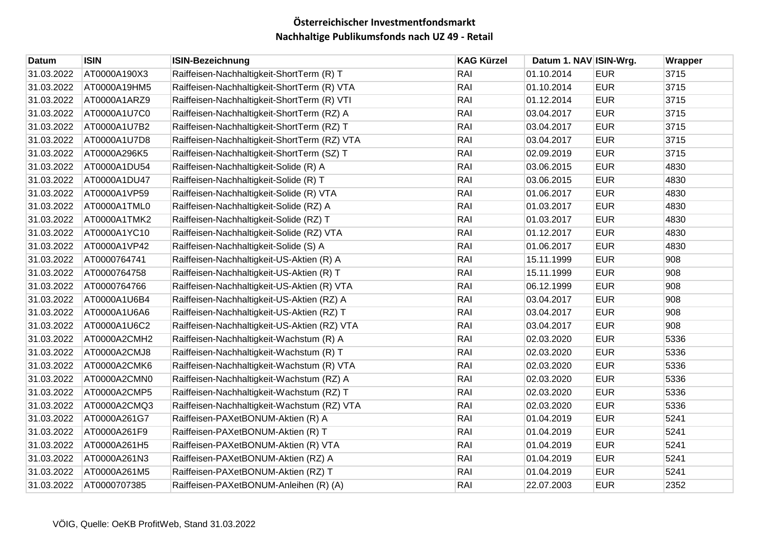| Datum      | <b>ISIN</b>  | <b>ISIN-Bezeichnung</b>                      | <b>KAG Kürzel</b> | Datum 1. NAV ISIN-Wrg. |            | Wrapper |
|------------|--------------|----------------------------------------------|-------------------|------------------------|------------|---------|
| 31.03.2022 | AT0000A190X3 | Raiffeisen-Nachhaltigkeit-ShortTerm (R) T    | RAI               | 01.10.2014             | <b>EUR</b> | 3715    |
| 31.03.2022 | AT0000A19HM5 | Raiffeisen-Nachhaltigkeit-ShortTerm (R) VTA  | RAI               | 01.10.2014             | <b>EUR</b> | 3715    |
| 31.03.2022 | AT0000A1ARZ9 | Raiffeisen-Nachhaltigkeit-ShortTerm (R) VTI  | RAI               | 01.12.2014             | <b>EUR</b> | 3715    |
| 31.03.2022 | AT0000A1U7C0 | Raiffeisen-Nachhaltigkeit-ShortTerm (RZ) A   | RAI               | 03.04.2017             | <b>EUR</b> | 3715    |
| 31.03.2022 | AT0000A1U7B2 | Raiffeisen-Nachhaltigkeit-ShortTerm (RZ) T   | RAI               | 03.04.2017             | <b>EUR</b> | 3715    |
| 31.03.2022 | AT0000A1U7D8 | Raiffeisen-Nachhaltigkeit-ShortTerm (RZ) VTA | RAI               | 03.04.2017             | <b>EUR</b> | 3715    |
| 31.03.2022 | AT0000A296K5 | Raiffeisen-Nachhaltigkeit-ShortTerm (SZ) T   | RAI               | 02.09.2019             | <b>EUR</b> | 3715    |
| 31.03.2022 | AT0000A1DU54 | Raiffeisen-Nachhaltigkeit-Solide (R) A       | RAI               | 03.06.2015             | <b>EUR</b> | 4830    |
| 31.03.2022 | AT0000A1DU47 | Raiffeisen-Nachhaltigkeit-Solide (R) T       | RAI               | 03.06.2015             | <b>EUR</b> | 4830    |
| 31.03.2022 | AT0000A1VP59 | Raiffeisen-Nachhaltigkeit-Solide (R) VTA     | RAI               | 01.06.2017             | <b>EUR</b> | 4830    |
| 31.03.2022 | AT0000A1TML0 | Raiffeisen-Nachhaltigkeit-Solide (RZ) A      | RAI               | 01.03.2017             | <b>EUR</b> | 4830    |
| 31.03.2022 | AT0000A1TMK2 | Raiffeisen-Nachhaltigkeit-Solide (RZ) T      | RAI               | 01.03.2017             | <b>EUR</b> | 4830    |
| 31.03.2022 | AT0000A1YC10 | Raiffeisen-Nachhaltigkeit-Solide (RZ) VTA    | RAI               | 01.12.2017             | <b>EUR</b> | 4830    |
| 31.03.2022 | AT0000A1VP42 | Raiffeisen-Nachhaltigkeit-Solide (S) A       | RAI               | 01.06.2017             | <b>EUR</b> | 4830    |
| 31.03.2022 | AT0000764741 | Raiffeisen-Nachhaltigkeit-US-Aktien (R) A    | RAI               | 15.11.1999             | <b>EUR</b> | 908     |
| 31.03.2022 | AT0000764758 | Raiffeisen-Nachhaltigkeit-US-Aktien (R) T    | RAI               | 15.11.1999             | <b>EUR</b> | 908     |
| 31.03.2022 | AT0000764766 | Raiffeisen-Nachhaltigkeit-US-Aktien (R) VTA  | RAI               | 06.12.1999             | <b>EUR</b> | 908     |
| 31.03.2022 | AT0000A1U6B4 | Raiffeisen-Nachhaltigkeit-US-Aktien (RZ) A   | RAI               | 03.04.2017             | <b>EUR</b> | 908     |
| 31.03.2022 | AT0000A1U6A6 | Raiffeisen-Nachhaltigkeit-US-Aktien (RZ) T   | RAI               | 03.04.2017             | <b>EUR</b> | 908     |
| 31.03.2022 | AT0000A1U6C2 | Raiffeisen-Nachhaltigkeit-US-Aktien (RZ) VTA | RAI               | 03.04.2017             | <b>EUR</b> | 908     |
| 31.03.2022 | AT0000A2CMH2 | Raiffeisen-Nachhaltigkeit-Wachstum (R) A     | RAI               | 02.03.2020             | <b>EUR</b> | 5336    |
| 31.03.2022 | AT0000A2CMJ8 | Raiffeisen-Nachhaltigkeit-Wachstum (R) T     | RAI               | 02.03.2020             | <b>EUR</b> | 5336    |
| 31.03.2022 | AT0000A2CMK6 | Raiffeisen-Nachhaltigkeit-Wachstum (R) VTA   | RAI               | 02.03.2020             | <b>EUR</b> | 5336    |
| 31.03.2022 | AT0000A2CMN0 | Raiffeisen-Nachhaltigkeit-Wachstum (RZ) A    | RAI               | 02.03.2020             | <b>EUR</b> | 5336    |
| 31.03.2022 | AT0000A2CMP5 | Raiffeisen-Nachhaltigkeit-Wachstum (RZ) T    | RAI               | 02.03.2020             | <b>EUR</b> | 5336    |
| 31.03.2022 | AT0000A2CMQ3 | Raiffeisen-Nachhaltigkeit-Wachstum (RZ) VTA  | RAI               | 02.03.2020             | <b>EUR</b> | 5336    |
| 31.03.2022 | AT0000A261G7 | Raiffeisen-PAXetBONUM-Aktien (R) A           | RAI               | 01.04.2019             | <b>EUR</b> | 5241    |
| 31.03.2022 | AT0000A261F9 | Raiffeisen-PAXetBONUM-Aktien (R) T           | RAI               | 01.04.2019             | <b>EUR</b> | 5241    |
| 31.03.2022 | AT0000A261H5 | Raiffeisen-PAXetBONUM-Aktien (R) VTA         | RAI               | 01.04.2019             | <b>EUR</b> | 5241    |
| 31.03.2022 | AT0000A261N3 | Raiffeisen-PAXetBONUM-Aktien (RZ) A          | RAI               | 01.04.2019             | <b>EUR</b> | 5241    |
| 31.03.2022 | AT0000A261M5 | Raiffeisen-PAXetBONUM-Aktien (RZ) T          | RAI               | 01.04.2019             | <b>EUR</b> | 5241    |
| 31.03.2022 | AT0000707385 | Raiffeisen-PAXetBONUM-Anleihen (R) (A)       | RAI               | 22.07.2003             | <b>EUR</b> | 2352    |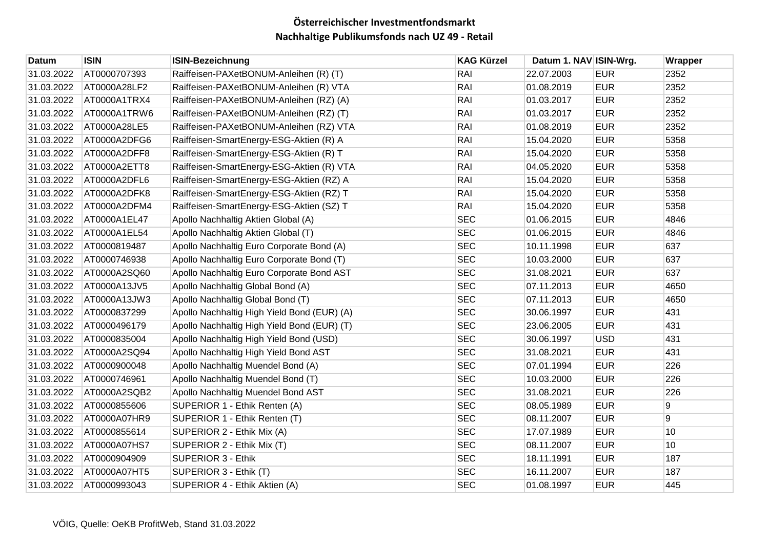| Datum      | <b>ISIN</b>  | <b>ISIN-Bezeichnung</b>                     | <b>KAG Kürzel</b> | Datum 1. NAV ISIN-Wrg. |            | Wrapper          |
|------------|--------------|---------------------------------------------|-------------------|------------------------|------------|------------------|
| 31.03.2022 | AT0000707393 | Raiffeisen-PAXetBONUM-Anleihen (R) (T)      | RAI               | 22.07.2003             | <b>EUR</b> | 2352             |
| 31.03.2022 | AT0000A28LF2 | Raiffeisen-PAXetBONUM-Anleihen (R) VTA      | RAI               | 01.08.2019             | <b>EUR</b> | 2352             |
| 31.03.2022 | AT0000A1TRX4 | Raiffeisen-PAXetBONUM-Anleihen (RZ) (A)     | RAI               | 01.03.2017             | <b>EUR</b> | 2352             |
| 31.03.2022 | AT0000A1TRW6 | Raiffeisen-PAXetBONUM-Anleihen (RZ) (T)     | RAI               | 01.03.2017             | <b>EUR</b> | 2352             |
| 31.03.2022 | AT0000A28LE5 | Raiffeisen-PAXetBONUM-Anleihen (RZ) VTA     | RAI               | 01.08.2019             | <b>EUR</b> | 2352             |
| 31.03.2022 | AT0000A2DFG6 | Raiffeisen-SmartEnergy-ESG-Aktien (R) A     | RAI               | 15.04.2020             | <b>EUR</b> | 5358             |
| 31.03.2022 | AT0000A2DFF8 | Raiffeisen-SmartEnergy-ESG-Aktien (R) T     | RAI               | 15.04.2020             | <b>EUR</b> | 5358             |
| 31.03.2022 | AT0000A2ETT8 | Raiffeisen-SmartEnergy-ESG-Aktien (R) VTA   | RAI               | 04.05.2020             | <b>EUR</b> | 5358             |
| 31.03.2022 | AT0000A2DFL6 | Raiffeisen-SmartEnergy-ESG-Aktien (RZ) A    | RAI               | 15.04.2020             | <b>EUR</b> | 5358             |
| 31.03.2022 | AT0000A2DFK8 | Raiffeisen-SmartEnergy-ESG-Aktien (RZ) T    | RAI               | 15.04.2020             | <b>EUR</b> | 5358             |
| 31.03.2022 | AT0000A2DFM4 | Raiffeisen-SmartEnergy-ESG-Aktien (SZ) T    | RAI               | 15.04.2020             | <b>EUR</b> | 5358             |
| 31.03.2022 | AT0000A1EL47 | Apollo Nachhaltig Aktien Global (A)         | <b>SEC</b>        | 01.06.2015             | <b>EUR</b> | 4846             |
| 31.03.2022 | AT0000A1EL54 | Apollo Nachhaltig Aktien Global (T)         | <b>SEC</b>        | 01.06.2015             | <b>EUR</b> | 4846             |
| 31.03.2022 | AT0000819487 | Apollo Nachhaltig Euro Corporate Bond (A)   | <b>SEC</b>        | 10.11.1998             | <b>EUR</b> | 637              |
| 31.03.2022 | AT0000746938 | Apollo Nachhaltig Euro Corporate Bond (T)   | <b>SEC</b>        | 10.03.2000             | <b>EUR</b> | 637              |
| 31.03.2022 | AT0000A2SQ60 | Apollo Nachhaltig Euro Corporate Bond AST   | <b>SEC</b>        | 31.08.2021             | <b>EUR</b> | 637              |
| 31.03.2022 | AT0000A13JV5 | Apollo Nachhaltig Global Bond (A)           | <b>SEC</b>        | 07.11.2013             | <b>EUR</b> | 4650             |
| 31.03.2022 | AT0000A13JW3 | Apollo Nachhaltig Global Bond (T)           | <b>SEC</b>        | 07.11.2013             | <b>EUR</b> | 4650             |
| 31.03.2022 | AT0000837299 | Apollo Nachhaltig High Yield Bond (EUR) (A) | <b>SEC</b>        | 30.06.1997             | <b>EUR</b> | 431              |
| 31.03.2022 | AT0000496179 | Apollo Nachhaltig High Yield Bond (EUR) (T) | <b>SEC</b>        | 23.06.2005             | <b>EUR</b> | 431              |
| 31.03.2022 | AT0000835004 | Apollo Nachhaltig High Yield Bond (USD)     | <b>SEC</b>        | 30.06.1997             | <b>USD</b> | 431              |
| 31.03.2022 | AT0000A2SQ94 | Apollo Nachhaltig High Yield Bond AST       | <b>SEC</b>        | 31.08.2021             | <b>EUR</b> | 431              |
| 31.03.2022 | AT0000900048 | Apollo Nachhaltig Muendel Bond (A)          | <b>SEC</b>        | 07.01.1994             | <b>EUR</b> | 226              |
| 31.03.2022 | AT0000746961 | Apollo Nachhaltig Muendel Bond (T)          | <b>SEC</b>        | 10.03.2000             | <b>EUR</b> | 226              |
| 31.03.2022 | AT0000A2SQB2 | Apollo Nachhaltig Muendel Bond AST          | <b>SEC</b>        | 31.08.2021             | <b>EUR</b> | 226              |
| 31.03.2022 | AT0000855606 | SUPERIOR 1 - Ethik Renten (A)               | <b>SEC</b>        | 08.05.1989             | <b>EUR</b> | $\boldsymbol{9}$ |
| 31.03.2022 | AT0000A07HR9 | SUPERIOR 1 - Ethik Renten (T)               | <b>SEC</b>        | 08.11.2007             | <b>EUR</b> | $9\,$            |
| 31.03.2022 | AT0000855614 | SUPERIOR 2 - Ethik Mix (A)                  | <b>SEC</b>        | 17.07.1989             | <b>EUR</b> | 10               |
| 31.03.2022 | AT0000A07HS7 | SUPERIOR 2 - Ethik Mix (T)                  | <b>SEC</b>        | 08.11.2007             | <b>EUR</b> | 10               |
| 31.03.2022 | AT0000904909 | <b>SUPERIOR 3 - Ethik</b>                   | <b>SEC</b>        | 18.11.1991             | <b>EUR</b> | 187              |
| 31.03.2022 | AT0000A07HT5 | SUPERIOR 3 - Ethik (T)                      | <b>SEC</b>        | 16.11.2007             | <b>EUR</b> | 187              |
| 31.03.2022 | AT0000993043 | SUPERIOR 4 - Ethik Aktien (A)               | <b>SEC</b>        | 01.08.1997             | <b>EUR</b> | 445              |